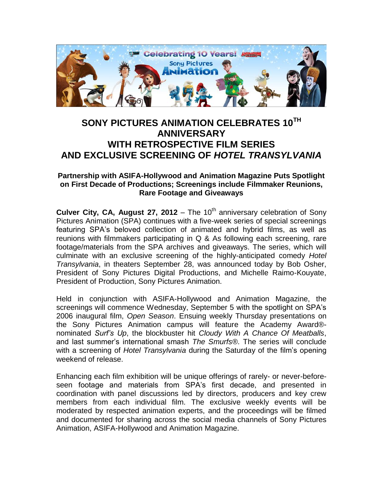

## **SONY PICTURES ANIMATION CELEBRATES 10TH ANNIVERSARY WITH RETROSPECTIVE FILM SERIES AND EXCLUSIVE SCREENING OF** *HOTEL TRANSYLVANIA*

## **Partnership with ASIFA-Hollywood and Animation Magazine Puts Spotlight on First Decade of Productions; Screenings include Filmmaker Reunions, Rare Footage and Giveaways**

**Culver City, CA, August 27, 2012** – The 10<sup>th</sup> anniversary celebration of Sony Pictures Animation (SPA) continues with a five-week series of special screenings featuring SPA's beloved collection of animated and hybrid films, as well as reunions with filmmakers participating in Q & As following each screening, rare footage/materials from the SPA archives and giveaways. The series, which will culminate with an exclusive screening of the highly-anticipated comedy *Hotel Transylvania*, in theaters September 28, was announced today by Bob Osher, President of Sony Pictures Digital Productions, and Michelle Raimo-Kouyate, President of Production, Sony Pictures Animation.

Held in conjunction with ASIFA-Hollywood and Animation Magazine, the screenings will commence Wednesday, September 5 with the spotlight on SPA's 2006 inaugural film, *Open Season*. Ensuing weekly Thursday presentations on the Sony Pictures Animation campus will feature the Academy Award® nominated *Surf's Up*, the blockbuster hit *Cloudy With A Chance Of Meatballs*, and last summer's international smash *The Smurfs®*. The series will conclude with a screening of *Hotel Transylvania* during the Saturday of the film's opening weekend of release.

Enhancing each film exhibition will be unique offerings of rarely- or never-beforeseen footage and materials from SPA's first decade, and presented in coordination with panel discussions led by directors, producers and key crew members from each individual film. The exclusive weekly events will be moderated by respected animation experts, and the proceedings will be filmed and documented for sharing across the social media channels of Sony Pictures Animation, ASIFA-Hollywood and Animation Magazine.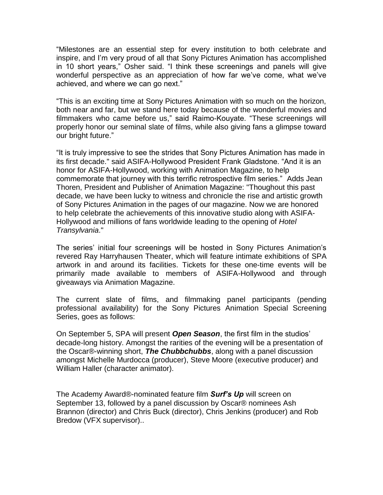"Milestones are an essential step for every institution to both celebrate and inspire, and I'm very proud of all that Sony Pictures Animation has accomplished in 10 short years," Osher said. "I think these screenings and panels will give wonderful perspective as an appreciation of how far we've come, what we've achieved, and where we can go next."

"This is an exciting time at Sony Pictures Animation with so much on the horizon, both near and far, but we stand here today because of the wonderful movies and filmmakers who came before us," said Raimo-Kouyate. "These screenings will properly honor our seminal slate of films, while also giving fans a glimpse toward our bright future."

"It is truly impressive to see the strides that Sony Pictures Animation has made in its first decade." said ASIFA-Hollywood President Frank Gladstone. "And it is an honor for ASIFA-Hollywood, working with Animation Magazine, to help commemorate that journey with this terrific retrospective film series." Adds Jean Thoren, President and Publisher of Animation Magazine: "Thoughout this past decade, we have been lucky to witness and chronicle the rise and artistic growth of Sony Pictures Animation in the pages of our magazine. Now we are honored to help celebrate the achievements of this innovative studio along with ASIFA-Hollywood and millions of fans worldwide leading to the opening of *Hotel Transylvania*."

The series' initial four screenings will be hosted in Sony Pictures Animation's revered Ray Harryhausen Theater, which will feature intimate exhibitions of SPA artwork in and around its facilities. Tickets for these one-time events will be primarily made available to members of ASIFA-Hollywood and through giveaways via Animation Magazine.

The current slate of films, and filmmaking panel participants (pending professional availability) for the Sony Pictures Animation Special Screening Series, goes as follows:

On September 5, SPA will present *Open Season*, the first film in the studios' decade-long history. Amongst the rarities of the evening will be a presentation of the Oscar®-winning short, *The Chubbchubbs*, along with a panel discussion amongst Michelle Murdocca (producer), Steve Moore (executive producer) and William Haller (character animator).

The Academy Award®-nominated feature film *Surf's Up* will screen on September 13, followed by a panel discussion by Oscar® nominees Ash Brannon (director) and Chris Buck (director), Chris Jenkins (producer) and Rob Bredow (VFX supervisor)..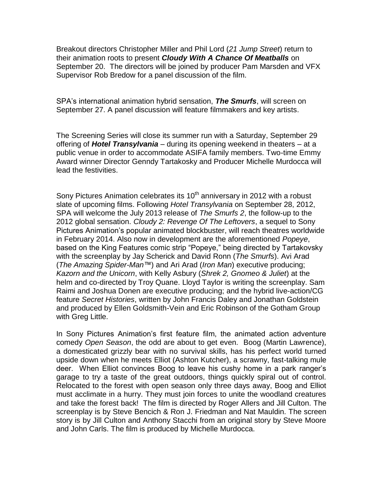Breakout directors Christopher Miller and Phil Lord (*21 Jump Street*) return to their animation roots to present *Cloudy With A Chance Of Meatballs* on September 20. The directors will be joined by producer Pam Marsden and VFX Supervisor Rob Bredow for a panel discussion of the film.

SPA's international animation hybrid sensation, *The Smurfs*, will screen on September 27. A panel discussion will feature filmmakers and key artists.

The Screening Series will close its summer run with a Saturday, September 29 offering of *Hotel Transylvania* – during its opening weekend in theaters – at a public venue in order to accommodate ASIFA family members. Two-time Emmy Award winner Director Genndy Tartakosky and Producer Michelle Murdocca will lead the festivities.

Sony Pictures Animation celebrates its  $10<sup>th</sup>$  anniversary in 2012 with a robust slate of upcoming films. Following *Hotel Transylvania* on September 28, 2012, SPA will welcome the July 2013 release of *The Smurfs 2*, the follow-up to the 2012 global sensation. *Cloudy 2: Revenge Of The Leftovers*, a sequel to Sony Pictures Animation's popular animated blockbuster, will reach theatres worldwide in February 2014. Also now in development are the aforementioned *Popeye*, based on the King Features comic strip "Popeye," being directed by Tartakovsky with the screenplay by Jay Scherick and David Ronn (*The Smurfs*). Avi Arad (*The Amazing Spider-Man™*) and Ari Arad (*Iron Man*) executive producing; *Kazorn and the Unicorn*, with Kelly Asbury (*Shrek 2, Gnomeo & Juliet*) at the helm and co-directed by Troy Quane. Lloyd Taylor is writing the screenplay. Sam Raimi and Joshua Donen are executive producing; and the hybrid live-action/CG feature *Secret Histories*, written by John Francis Daley and Jonathan Goldstein and produced by Ellen Goldsmith-Vein and Eric Robinson of the Gotham Group with Greg Little.

In Sony Pictures Animation's first feature film, the animated action adventure comedy *Open Season*, the odd are about to get even. Boog (Martin Lawrence), a domesticated grizzly bear with no survival skills, has his perfect world turned upside down when he meets Elliot (Ashton Kutcher), a scrawny, fast-talking mule deer. When Elliot convinces Boog to leave his cushy home in a park ranger's garage to try a taste of the great outdoors, things quickly spiral out of control. Relocated to the forest with open season only three days away, Boog and Elliot must acclimate in a hurry. They must join forces to unite the woodland creatures and take the forest back! The film is directed by Roger Allers and Jill Culton. The screenplay is by Steve Bencich & Ron J. Friedman and Nat Mauldin. The screen story is by Jill Culton and Anthony Stacchi from an original story by Steve Moore and John Carls. The film is produced by Michelle Murdocca.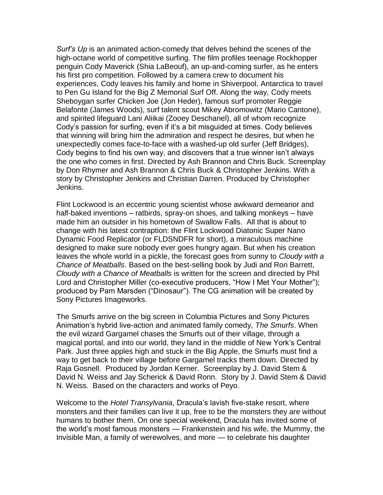*Surf's Up* is an animated action-comedy that delves behind the scenes of the high-octane world of competitive surfing. The film profiles teenage Rockhopper penguin Cody Maverick (Shia LaBeouf), an up-and-coming surfer, as he enters his first pro competition. Followed by a camera crew to document his experiences, Cody leaves his family and home in Shiverpool, Antarctica to travel to Pen Gu Island for the Big Z Memorial Surf Off. Along the way, Cody meets Sheboygan surfer Chicken Joe (Jon Heder), famous surf promoter Reggie Belafonte (James Woods), surf talent scout Mikey Abromowitz (Mario Cantone), and spirited lifeguard Lani Aliikai (Zooey Deschanel), all of whom recognize Cody's passion for surfing, even if it's a bit misguided at times. Cody believes that winning will bring him the admiration and respect he desires, but when he unexpectedly comes face-to-face with a washed-up old surfer (Jeff Bridges), Cody begins to find his own way, and discovers that a true winner isn't always the one who comes in first. Directed by Ash Brannon and Chris Buck. Screenplay by Don Rhymer and Ash Brannon & Chris Buck & Christopher Jenkins. With a story by Christopher Jenkins and Christian Darren. Produced by Christopher Jenkins.

Flint Lockwood is an eccentric young scientist whose awkward demeanor and half-baked inventions – ratbirds, spray-on shoes, and talking monkeys – have made him an outsider in his hometown of Swallow Falls. All that is about to change with his latest contraption: the Flint Lockwood Diatonic Super Nano Dynamic Food Replicator (or FLDSNDFR for short), a miraculous machine designed to make sure nobody ever goes hungry again. But when his creation leaves the whole world in a pickle, the forecast goes from sunny to *Cloudy with a Chance of Meatballs*. Based on the best-selling book by Judi and Ron Barrett, *Cloudy with a Chance of Meatballs* is written for the screen and directed by Phil Lord and Christopher Miller (co-executive producers, "How I Met Your Mother"); produced by Pam Marsden ("Dinosaur"). The CG animation will be created by Sony Pictures Imageworks.

The Smurfs arrive on the big screen in Columbia Pictures and Sony Pictures Animation's hybrid live-action and animated family comedy, *The Smurfs*. When the evil wizard Gargamel chases the Smurfs out of their village, through a magical portal, and into our world, they land in the middle of New York's Central Park. Just three apples high and stuck in the Big Apple, the Smurfs must find a way to get back to their village before Gargamel tracks them down. Directed by Raja Gosnell. Produced by Jordan Kerner. Screenplay by J. David Stem & David N. Weiss and Jay Scherick & David Ronn. Story by J. David Stem & David N. Weiss. Based on the characters and works of Peyo.

Welcome to the *Hotel Transylvania*, Dracula's lavish five-stake resort, where monsters and their families can live it up, free to be the monsters they are without humans to bother them. On one special weekend, Dracula has invited some of the world's most famous monsters — Frankenstein and his wife, the Mummy, the Invisible Man, a family of werewolves, and more — to celebrate his daughter